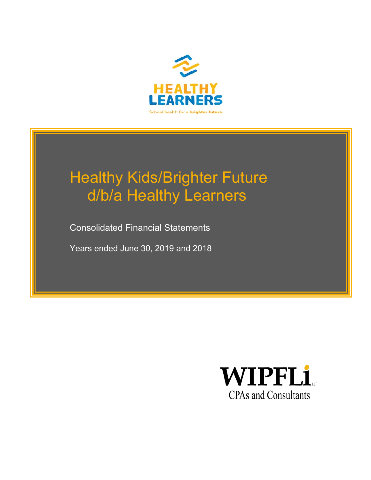

## Healthy Kids/Brighter Future d/b/a Healthy Learners

Consolidated Financial Statements

Years ended June 30, 2019 and 2018

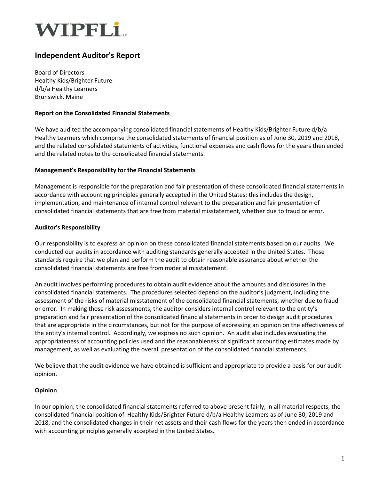

#### **Independent Auditor's Report**

Board of Directors Healthy Kids/Brighter Future d/b/a Healthy Learners Brunswick, Maine

#### **Report on the Consolidated Financial Statements**

We have audited the accompanying consolidated financial statements of Healthy Kids/Brighter Future d/b/a Healthy Learners which comprise the consolidated statements of financial position as of June 30, 2019 and 2018, and the related consolidated statements of activities, functional expenses and cash flows for the years then ended and the related notes to the consolidated financial statements.

#### **Management's Responsibility for the Financial Statements**

Management is responsible for the preparation and fair presentation of these consolidated financial statements in accordance with accounting principles generally accepted in the United States; this includes the design, implementation, and maintenance of internal control relevant to the preparation and fair presentation of consolidated financial statements that are free from material misstatement, whether due to fraud or error.

#### **Auditor's Responsibility**

Our responsibility is to express an opinion on these consolidated financial statements based on our audits. We conducted our audits in accordance with auditing standards generally accepted in the United States. Those standards require that we plan and perform the audit to obtain reasonable assurance about whether the consolidated financial statements are free from material misstatement.

An audit involves performing procedures to obtain audit evidence about the amounts and disclosures in the consolidated financial statements. The procedures selected depend on the auditor's judgment, including the assessment of the risks of material misstatement of the consolidated financial statements, whether due to fraud or error. In making those risk assessments, the auditor considers internal control relevant to the entity's preparation and fair presentation of the consolidated financial statements in order to design audit procedures that are appropriate in the circumstances, but not for the purpose of expressing an opinion on the effectiveness of the entity's internal control. Accordingly, we express no such opinion. An audit also includes evaluating the appropriateness of accounting policies used and the reasonableness of significant accounting estimates made by management, as well as evaluating the overall presentation of the consolidated financial statements.

We believe that the audit evidence we have obtained is sufficient and appropriate to provide a basis for our audit opinion.

#### **Opinion**

In our opinion, the consolidated financial statements referred to above present fairly, in all material respects, the consolidated financial position of Healthy Kids/Brighter Future d/b/a Healthy Learners as of June 30, 2019 and 2018, and the consolidated changes in their net assets and their cash flows for the years then ended in accordance with accounting principles generally accepted in the United States.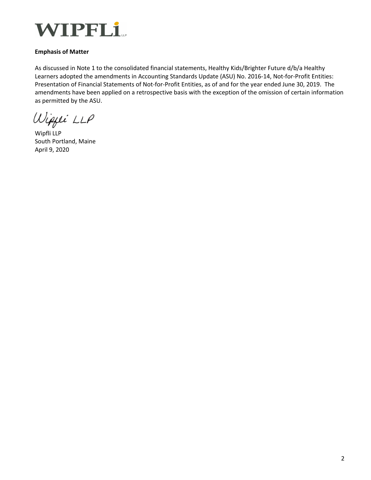

#### **Emphasis of Matter**

As discussed in Note 1 to the consolidated financial statements, Healthy Kids/Brighter Future d/b/a Healthy Learners adopted the amendments in Accounting Standards Update (ASU) No. 2016-14, Not-for-Profit Entities: Presentation of Financial Statements of Not-for-Profit Entities, as of and for the year ended June 30, 2019. The amendments have been applied on a retrospective basis with the exception of the omission of certain information as permitted by the ASU.

Wippei LLP

Wipfli LLP South Portland, Maine April 9, 2020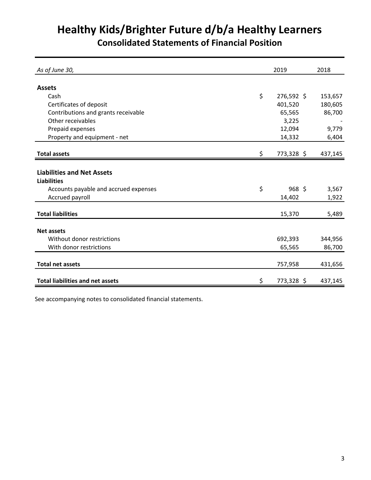## **Healthy Kids/Brighter Future d/b/a Healthy Learners**

**Consolidated Statements of Financial Position**

| As of June 30,                          | 2019             | 2018    |
|-----------------------------------------|------------------|---------|
| <b>Assets</b>                           |                  |         |
| Cash                                    | \$<br>276,592 \$ | 153,657 |
| Certificates of deposit                 | 401,520          | 180,605 |
| Contributions and grants receivable     | 65,565           | 86,700  |
| Other receivables                       | 3,225            |         |
| Prepaid expenses                        | 12,094           | 9,779   |
| Property and equipment - net            | 14,332           | 6,404   |
|                                         |                  |         |
| <b>Total assets</b>                     | 773,328 \$       | 437,145 |
|                                         |                  |         |
| <b>Liabilities and Net Assets</b>       |                  |         |
| <b>Liabilities</b>                      |                  |         |
| Accounts payable and accrued expenses   | \$<br>$968$ \$   | 3,567   |
| Accrued payroll                         | 14,402           | 1,922   |
|                                         |                  |         |
| <b>Total liabilities</b>                | 15,370           | 5,489   |
|                                         |                  |         |
| <b>Net assets</b>                       |                  |         |
| Without donor restrictions              | 692,393          | 344,956 |
| With donor restrictions                 | 65,565           | 86,700  |
|                                         |                  |         |
| <b>Total net assets</b>                 | 757,958          | 431,656 |
|                                         |                  |         |
| <b>Total liabilities and net assets</b> | \$<br>773,328 \$ | 437,145 |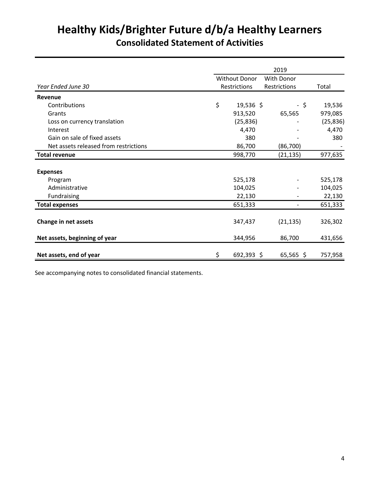### **Healthy Kids/Brighter Future d/b/a Healthy Learners Consolidated Statement of Activities**

|                                       | 2019          |              |              |           |  |
|---------------------------------------|---------------|--------------|--------------|-----------|--|
|                                       | Without Donor |              | With Donor   |           |  |
| Year Ended June 30                    |               | Restrictions | Restrictions | Total     |  |
| Revenue                               |               |              |              |           |  |
| Contributions                         | \$            | $19,536$ \$  | -\$          | 19,536    |  |
| Grants                                |               | 913,520      | 65,565       | 979,085   |  |
| Loss on currency translation          |               | (25, 836)    |              | (25, 836) |  |
| Interest                              |               | 4,470        |              | 4,470     |  |
| Gain on sale of fixed assets          |               | 380          |              | 380       |  |
| Net assets released from restrictions |               | 86,700       | (86, 700)    |           |  |
| <b>Total revenue</b>                  |               | 998,770      | (21, 135)    | 977,635   |  |
|                                       |               |              |              |           |  |
| <b>Expenses</b>                       |               |              |              |           |  |
| Program                               |               | 525,178      |              | 525,178   |  |
| Administrative                        |               | 104,025      |              | 104,025   |  |
| Fundraising                           |               | 22,130       |              | 22,130    |  |
| <b>Total expenses</b>                 |               | 651,333      |              | 651,333   |  |
|                                       |               |              |              |           |  |
| Change in net assets                  |               | 347,437      | (21, 135)    | 326,302   |  |
|                                       |               |              |              |           |  |
| Net assets, beginning of year         |               | 344,956      | 86,700       | 431,656   |  |
|                                       |               |              |              |           |  |
| Net assets, end of year               | \$            | 692,393 \$   | $65,565$ \$  | 757,958   |  |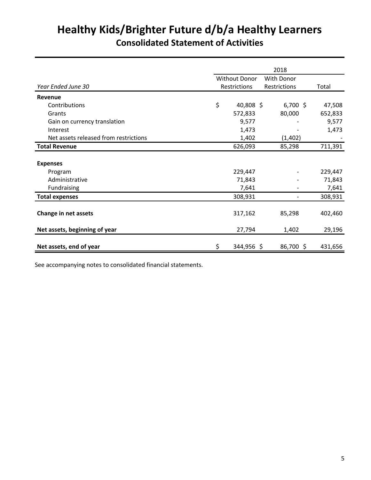### **Healthy Kids/Brighter Future d/b/a Healthy Learners Consolidated Statement of Activities**

|                                       | 2018                               |              |              |         |  |
|---------------------------------------|------------------------------------|--------------|--------------|---------|--|
|                                       | With Donor<br><b>Without Donor</b> |              |              |         |  |
| Year Ended June 30                    |                                    | Restrictions | Restrictions | Total   |  |
| Revenue                               |                                    |              |              |         |  |
| Contributions                         | \$                                 | 40,808 \$    | $6,700$ \$   | 47,508  |  |
| Grants                                |                                    | 572,833      | 80,000       | 652,833 |  |
| Gain on currency translation          |                                    | 9,577        |              | 9,577   |  |
| Interest                              |                                    | 1,473        |              | 1,473   |  |
| Net assets released from restrictions |                                    | 1,402        | (1,402)      |         |  |
| <b>Total Revenue</b>                  |                                    | 626,093      | 85,298       | 711,391 |  |
|                                       |                                    |              |              |         |  |
| <b>Expenses</b>                       |                                    |              |              |         |  |
| Program                               |                                    | 229,447      |              | 229,447 |  |
| Administrative                        |                                    | 71,843       |              | 71,843  |  |
| Fundraising                           |                                    | 7,641        |              | 7,641   |  |
| <b>Total expenses</b>                 |                                    | 308,931      |              | 308,931 |  |
|                                       |                                    |              |              |         |  |
| Change in net assets                  |                                    | 317,162      | 85,298       | 402,460 |  |
|                                       |                                    |              |              |         |  |
| Net assets, beginning of year         |                                    | 27,794       | 1,402        | 29,196  |  |
|                                       |                                    |              |              |         |  |
| Net assets, end of year               | \$                                 | 344,956 \$   | 86,700 \$    | 431,656 |  |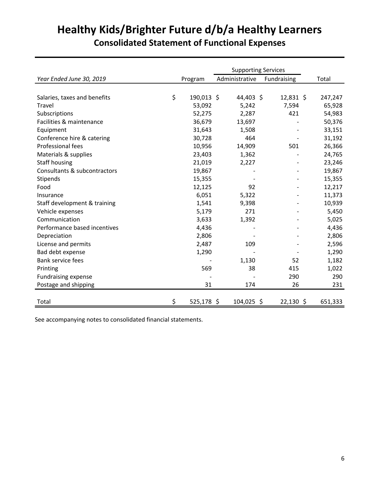### **Healthy Kids/Brighter Future d/b/a Healthy Learners Consolidated Statement of Functional Expenses**

|                              |                  | <b>Supporting Services</b> |             |         |
|------------------------------|------------------|----------------------------|-------------|---------|
| Year Ended June 30, 2019     | Program          | Administrative             | Fundraising | Total   |
|                              |                  |                            |             |         |
| Salaries, taxes and benefits | \$<br>190,013 \$ | 44,403 \$                  | $12,831$ \$ | 247,247 |
| Travel                       | 53,092           | 5,242                      | 7,594       | 65,928  |
| Subscriptions                | 52,275           | 2,287                      | 421         | 54,983  |
| Facilities & maintenance     | 36,679           | 13,697                     |             | 50,376  |
| Equipment                    | 31,643           | 1,508                      |             | 33,151  |
| Conference hire & catering   | 30,728           | 464                        |             | 31,192  |
| <b>Professional fees</b>     | 10,956           | 14,909                     | 501         | 26,366  |
| Materials & supplies         | 23,403           | 1,362                      |             | 24,765  |
| <b>Staff housing</b>         | 21,019           | 2,227                      |             | 23,246  |
| Consultants & subcontractors | 19,867           |                            |             | 19,867  |
| Stipends                     | 15,355           |                            |             | 15,355  |
| Food                         | 12,125           | 92                         |             | 12,217  |
| Insurance                    | 6,051            | 5,322                      |             | 11,373  |
| Staff development & training | 1,541            | 9,398                      |             | 10,939  |
| Vehicle expenses             | 5,179            | 271                        |             | 5,450   |
| Communication                | 3,633            | 1,392                      |             | 5,025   |
| Performance based incentives | 4,436            |                            |             | 4,436   |
| Depreciation                 | 2,806            |                            |             | 2,806   |
| License and permits          | 2,487            | 109                        |             | 2,596   |
| Bad debt expense             | 1,290            |                            |             | 1,290   |
| <b>Bank service fees</b>     |                  | 1,130                      | 52          | 1,182   |
| Printing                     | 569              | 38                         | 415         | 1,022   |
| <b>Fundraising expense</b>   |                  |                            | 290         | 290     |
| Postage and shipping         | 31               | 174                        | 26          | 231     |
|                              |                  |                            |             |         |
| Total                        | \$<br>525,178 \$ | 104,025 \$                 | $22,130$ \$ | 651,333 |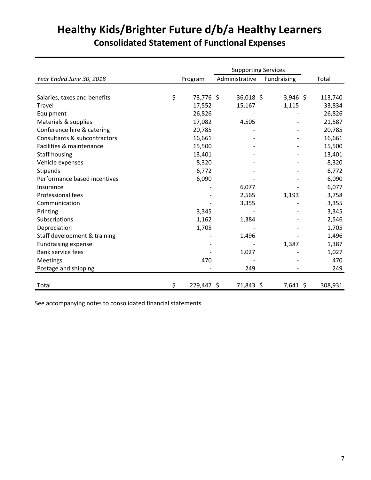### **Healthy Kids/Brighter Future d/b/a Healthy Learners Consolidated Statement of Functional Expenses**

|                              | <b>Supporting Services</b> |  |                |             |         |
|------------------------------|----------------------------|--|----------------|-------------|---------|
| Year Ended June 30, 2018     | Program                    |  | Administrative | Fundraising | Total   |
|                              |                            |  |                |             |         |
| Salaries, taxes and benefits | \$<br>73,776 \$            |  | 36,018 \$      | $3,946$ \$  | 113,740 |
| Travel                       | 17,552                     |  | 15,167         | 1,115       | 33,834  |
| Equipment                    | 26,826                     |  |                |             | 26,826  |
| Materials & supplies         | 17,082                     |  | 4,505          |             | 21,587  |
| Conference hire & catering   | 20,785                     |  |                |             | 20,785  |
| Consultants & subcontractors | 16,661                     |  |                |             | 16,661  |
| Facilities & maintenance     | 15,500                     |  |                |             | 15,500  |
| <b>Staff housing</b>         | 13,401                     |  |                |             | 13,401  |
| Vehicle expenses             | 8,320                      |  |                |             | 8,320   |
| Stipends                     | 6,772                      |  |                |             | 6,772   |
| Performance based incentives | 6,090                      |  |                |             | 6,090   |
| Insurance                    |                            |  | 6,077          |             | 6,077   |
| Professional fees            |                            |  | 2,565          | 1,193       | 3,758   |
| Communication                |                            |  | 3,355          |             | 3,355   |
| Printing                     | 3,345                      |  |                |             | 3,345   |
| Subscriptions                | 1,162                      |  | 1,384          |             | 2,546   |
| Depreciation                 | 1,705                      |  |                |             | 1,705   |
| Staff development & training |                            |  | 1,496          |             | 1,496   |
| <b>Fundraising expense</b>   |                            |  |                | 1,387       | 1,387   |
| <b>Bank service fees</b>     |                            |  | 1,027          |             | 1,027   |
| <b>Meetings</b>              | 470                        |  |                |             | 470     |
| Postage and shipping         |                            |  | 249            |             | 249     |
|                              |                            |  |                |             |         |
| Total                        | \$<br>229,447 \$           |  | 71,843 \$      | $7,641$ \$  | 308,931 |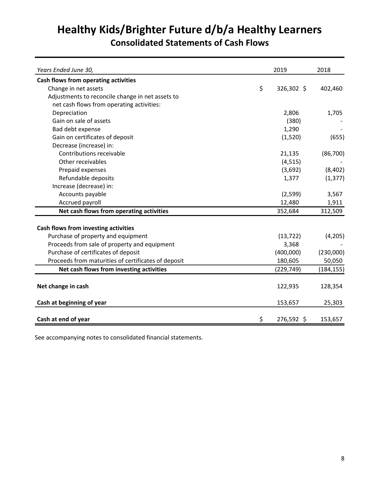### **Healthy Kids/Brighter Future d/b/a Healthy Learners Consolidated Statements of Cash Flows**

| Years Ended June 30,                                | 2019             | 2018       |
|-----------------------------------------------------|------------------|------------|
| <b>Cash flows from operating activities</b>         |                  |            |
| Change in net assets                                | \$<br>326,302 \$ | 402,460    |
| Adjustments to reconcile change in net assets to    |                  |            |
| net cash flows from operating activities:           |                  |            |
| Depreciation                                        | 2,806            | 1,705      |
| Gain on sale of assets                              | (380)            |            |
| Bad debt expense                                    | 1,290            |            |
| Gain on certificates of deposit                     | (1,520)          | (655)      |
| Decrease (increase) in:                             |                  |            |
| Contributions receivable                            | 21,135           | (86, 700)  |
| Other receivables                                   | (4, 515)         |            |
| Prepaid expenses                                    | (3,692)          | (8,402)    |
| Refundable deposits                                 | 1,377            | (1, 377)   |
| Increase (decrease) in:                             |                  |            |
| Accounts payable                                    | (2,599)          | 3,567      |
| Accrued payroll                                     | 12,480           | 1,911      |
| Net cash flows from operating activities            | 352,684          | 312,509    |
| Cash flows from investing activities                |                  |            |
| Purchase of property and equipment                  | (13, 722)        | (4,205)    |
| Proceeds from sale of property and equipment        | 3,368            |            |
| Purchase of certificates of deposit                 | (400,000)        | (230,000)  |
| Proceeds from maturities of certificates of deposit | 180,605          | 50,050     |
| Net cash flows from investing activities            | (229, 749)       | (184, 155) |
| Net change in cash                                  | 122,935          | 128,354    |
| Cash at beginning of year                           | 153,657          | 25,303     |
| Cash at end of year                                 | \$<br>276,592 \$ | 153,657    |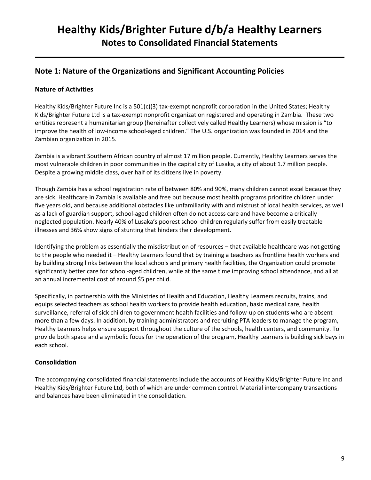#### **Note 1: Nature of the Organizations and Significant Accounting Policies**

#### **Nature of Activities**

Healthy Kids/Brighter Future Inc is a 501(c)(3) tax-exempt nonprofit corporation in the United States; Healthy Kids/Brighter Future Ltd is a tax-exempt nonprofit organization registered and operating in Zambia. These two entities represent a humanitarian group (hereinafter collectively called Healthy Learners) whose mission is "to improve the health of low-income school-aged children." The U.S. organization was founded in 2014 and the Zambian organization in 2015.

Zambia is a vibrant Southern African country of almost 17 million people. Currently, Healthy Learners serves the most vulnerable children in poor communities in the capital city of Lusaka, a city of about 1.7 million people. Despite a growing middle class, over half of its citizens live in poverty.

Though Zambia has a school registration rate of between 80% and 90%, many children cannot excel because they are sick. Healthcare in Zambia is available and free but because most health programs prioritize children under five years old, and because additional obstacles like unfamiliarity with and mistrust of local health services, as well as a lack of guardian support, school-aged children often do not access care and have become a critically neglected population. Nearly 40% of Lusaka's poorest school children regularly suffer from easily treatable illnesses and 36% show signs of stunting that hinders their development.

Identifying the problem as essentially the misdistribution of resources – that available healthcare was not getting to the people who needed it – Healthy Learners found that by training a teachers as frontline health workers and by building strong links between the local schools and primary health facilities, the Organization could promote significantly better care for school-aged children, while at the same time improving school attendance, and all at an annual incremental cost of around \$5 per child.

Specifically, in partnership with the Ministries of Health and Education, Healthy Learners recruits, trains, and equips selected teachers as school health workers to provide health education, basic medical care, health surveillance, referral of sick children to government health facilities and follow-up on students who are absent more than a few days. In addition, by training administrators and recruiting PTA leaders to manage the program, Healthy Learners helps ensure support throughout the culture of the schools, health centers, and community. To provide both space and a symbolic focus for the operation of the program, Healthy Learners is building sick bays in each school.

#### **Consolidation**

The accompanying consolidated financial statements include the accounts of Healthy Kids/Brighter Future Inc and Healthy Kids/Brighter Future Ltd, both of which are under common control. Material intercompany transactions and balances have been eliminated in the consolidation.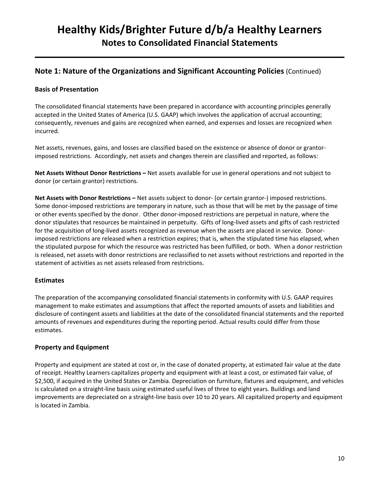#### **Note 1: Nature of the Organizations and Significant Accounting Policies** (Continued)

#### **Basis of Presentation**

The consolidated financial statements have been prepared in accordance with accounting principles generally accepted in the United States of America (U.S. GAAP) which involves the application of accrual accounting; consequently, revenues and gains are recognized when earned, and expenses and losses are recognized when incurred.

Net assets, revenues, gains, and losses are classified based on the existence or absence of donor or grantorimposed restrictions. Accordingly, net assets and changes therein are classified and reported, as follows:

**Net Assets Without Donor Restrictions –** Net assets available for use in general operations and not subject to donor (or certain grantor) restrictions.

**Net Assets with Donor Restrictions –** Net assets subject to donor- (or certain grantor-) imposed restrictions. Some donor-imposed restrictions are temporary in nature, such as those that will be met by the passage of time or other events specified by the donor. Other donor-imposed restrictions are perpetual in nature, where the donor stipulates that resources be maintained in perpetuity. Gifts of long-lived assets and gifts of cash restricted for the acquisition of long-lived assets recognized as revenue when the assets are placed in service. Donorimposed restrictions are released when a restriction expires; that is, when the stipulated time has elapsed, when the stipulated purpose for which the resource was restricted has been fulfilled, or both. When a donor restriction is released, net assets with donor restrictions are reclassified to net assets without restrictions and reported in the statement of activities as net assets released from restrictions.

#### **Estimates**

The preparation of the accompanying consolidated financial statements in conformity with U.S. GAAP requires management to make estimates and assumptions that affect the reported amounts of assets and liabilities and disclosure of contingent assets and liabilities at the date of the consolidated financial statements and the reported amounts of revenues and expenditures during the reporting period. Actual results could differ from those estimates.

#### **Property and Equipment**

Property and equipment are stated at cost or, in the case of donated property, at estimated fair value at the date of receipt. Healthy Learners capitalizes property and equipment with at least a cost, or estimated fair value, of \$2,500, if acquired in the United States or Zambia. Depreciation on furniture, fixtures and equipment, and vehicles is calculated on a straight-line basis using estimated useful lives of three to eight years. Buildings and land improvements are depreciated on a straight-line basis over 10 to 20 years. All capitalized property and equipment is located in Zambia.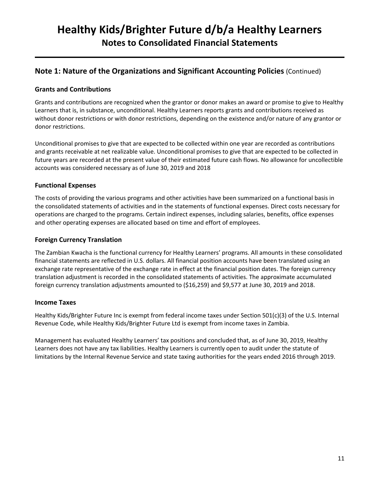#### **Note 1: Nature of the Organizations and Significant Accounting Policies** (Continued)

#### **Grants and Contributions**

Grants and contributions are recognized when the grantor or donor makes an award or promise to give to Healthy Learners that is, in substance, unconditional. Healthy Learners reports grants and contributions received as without donor restrictions or with donor restrictions, depending on the existence and/or nature of any grantor or donor restrictions.

Unconditional promises to give that are expected to be collected within one year are recorded as contributions and grants receivable at net realizable value. Unconditional promises to give that are expected to be collected in future years are recorded at the present value of their estimated future cash flows. No allowance for uncollectible accounts was considered necessary as of June 30, 2019 and 2018

#### **Functional Expenses**

The costs of providing the various programs and other activities have been summarized on a functional basis in the consolidated statements of activities and in the statements of functional expenses. Direct costs necessary for operations are charged to the programs. Certain indirect expenses, including salaries, benefits, office expenses and other operating expenses are allocated based on time and effort of employees.

#### **Foreign Currency Translation**

The Zambian Kwacha is the functional currency for Healthy Learners' programs. All amounts in these consolidated financial statements are reflected in U.S. dollars. All financial position accounts have been translated using an exchange rate representative of the exchange rate in effect at the financial position dates. The foreign currency translation adjustment is recorded in the consolidated statements of activities. The approximate accumulated foreign currency translation adjustments amounted to (\$16,259) and \$9,577 at June 30, 2019 and 2018.

#### **Income Taxes**

Healthy Kids/Brighter Future Inc is exempt from federal income taxes under Section 501(c)(3) of the U.S. Internal Revenue Code, while Healthy Kids/Brighter Future Ltd is exempt from income taxes in Zambia.

Management has evaluated Healthy Learners' tax positions and concluded that, as of June 30, 2019, Healthy Learners does not have any tax liabilities. Healthy Learners is currently open to audit under the statute of limitations by the Internal Revenue Service and state taxing authorities for the years ended 2016 through 2019.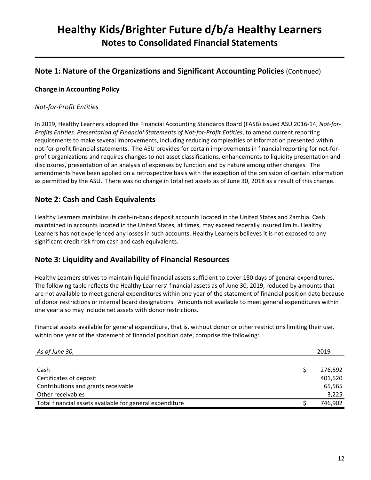#### **Note 1: Nature of the Organizations and Significant Accounting Policies** (Continued)

#### **Change in Accounting Policy**

#### *Not-for-Profit Entities*

In 2019, Healthy Learners adopted the Financial Accounting Standards Board (FASB) issued ASU 2016-14, *Not-for-Profits Entities: Presentation of Financial Statements of Not-for-Profit Entities*, to amend current reporting requirements to make several improvements, including reducing complexities of information presented within not-for-profit financial statements. The ASU provides for certain improvements in financial reporting for not-forprofit organizations and requires changes to net asset classifications, enhancements to liquidity presentation and disclosures, presentation of an analysis of expenses by function and by nature among other changes. The amendments have been applied on a retrospective basis with the exception of the omission of certain information as permitted by the ASU. There was no change in total net assets as of June 30, 2018 as a result of this change.

#### **Note 2: Cash and Cash Equivalents**

Healthy Learners maintains its cash-in-bank deposit accounts located in the United States and Zambia. Cash maintained in accounts located in the United States, at times, may exceed federally insured limits. Healthy Learners has not experienced any losses in such accounts. Healthy Learners believes it is not exposed to any significant credit risk from cash and cash equivalents.

#### **Note 3: Liquidity and Availability of Financial Resources**

Healthy Learners strives to maintain liquid financial assets sufficient to cover 180 days of general expenditures. The following table reflects the Healthy Learners' financial assets as of June 30, 2019, reduced by amounts that are not available to meet general expenditures within one year of the statement of financial position date because of donor restrictions or internal board designations. Amounts not available to meet general expenditures within one year also may include net assets with donor restrictions.

Financial assets available for general expenditure, that is, without donor or other restrictions limiting their use, within one year of the statement of financial position date, comprise the following:

| As of June 30,                                           | 2019    |
|----------------------------------------------------------|---------|
|                                                          |         |
| Cash                                                     | 276,592 |
| Certificates of deposit                                  | 401,520 |
| Contributions and grants receivable                      | 65,565  |
| Other receivables                                        | 3,225   |
| Total financial assets available for general expenditure | 746,902 |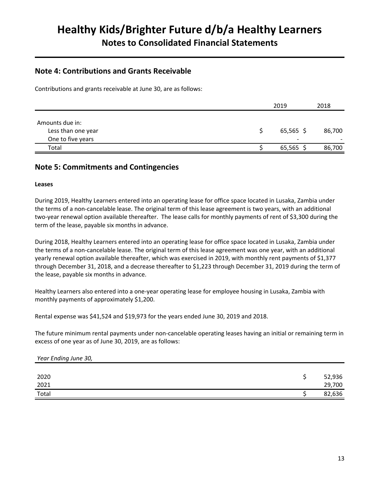#### **Note 4: Contributions and Grants Receivable**

Contributions and grants receivable at June 30, are as follows:

|                    | 2019                     | 2018                     |
|--------------------|--------------------------|--------------------------|
|                    |                          |                          |
| Amounts due in:    |                          |                          |
| Less than one year | $65,565$ \$              | 86,700                   |
| One to five years  | $\overline{\phantom{a}}$ | $\overline{\phantom{0}}$ |
| Total              | 65,565                   | 86,700                   |

#### **Note 5: Commitments and Contingencies**

#### **Leases**

*Year Ending June 30,*

During 2019, Healthy Learners entered into an operating lease for office space located in Lusaka, Zambia under the terms of a non-cancelable lease. The original term of this lease agreement is two years, with an additional two-year renewal option available thereafter. The lease calls for monthly payments of rent of \$3,300 during the term of the lease, payable six months in advance.

During 2018, Healthy Learners entered into an operating lease for office space located in Lusaka, Zambia under the terms of a non-cancelable lease. The original term of this lease agreement was one year, with an additional yearly renewal option available thereafter, which was exercised in 2019, with monthly rent payments of \$1,377 through December 31, 2018, and a decrease thereafter to \$1,223 through December 31, 2019 during the term of the lease, payable six months in advance.

Healthy Learners also entered into a one-year operating lease for employee housing in Lusaka, Zambia with monthly payments of approximately \$1,200.

Rental expense was \$41,524 and \$19,973 for the years ended June 30, 2019 and 2018.

The future minimum rental payments under non-cancelable operating leases having an initial or remaining term in excess of one year as of June 30, 2019, are as follows:

| 2020  | 52,936 |
|-------|--------|
| 2021  | 29,700 |
| Total | 82,636 |
|       |        |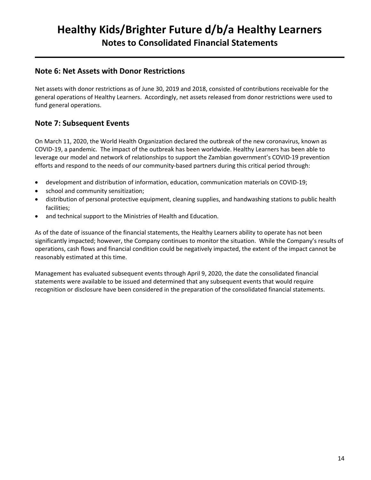#### **Note 6: Net Assets with Donor Restrictions**

Net assets with donor restrictions as of June 30, 2019 and 2018, consisted of contributions receivable for the general operations of Healthy Learners. Accordingly, net assets released from donor restrictions were used to fund general operations.

#### **Note 7: Subsequent Events**

On March 11, 2020, the World Health Organization declared the outbreak of the new coronavirus, known as COVID-19, a pandemic. The impact of the outbreak has been worldwide. Healthy Learners has been able to leverage our model and network of relationships to support the Zambian government's COVID-19 prevention efforts and respond to the needs of our community-based partners during this critical period through:

- development and distribution of information, education, communication materials on COVID-19;
- school and community sensitization;
- distribution of personal protective equipment, cleaning supplies, and handwashing stations to public health facilities;
- and technical support to the Ministries of Health and Education.

As of the date of issuance of the financial statements, the Healthy Learners ability to operate has not been significantly impacted; however, the Company continues to monitor the situation. While the Company's results of operations, cash flows and financial condition could be negatively impacted, the extent of the impact cannot be reasonably estimated at this time.

Management has evaluated subsequent events through April 9, 2020, the date the consolidated financial statements were available to be issued and determined that any subsequent events that would require recognition or disclosure have been considered in the preparation of the consolidated financial statements.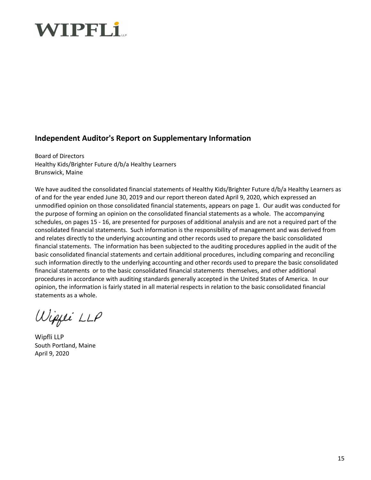# **WIPFLi**...

#### **Independent Auditor's Report on Supplementary Information**

Board of Directors Healthy Kids/Brighter Future d/b/a Healthy Learners Brunswick, Maine

We have audited the consolidated financial statements of Healthy Kids/Brighter Future d/b/a Healthy Learners as of and for the year ended June 30, 2019 and our report thereon dated April 9, 2020, which expressed an unmodified opinion on those consolidated financial statements, appears on page 1. Our audit was conducted for the purpose of forming an opinion on the consolidated financial statements as a whole. The accompanying schedules, on pages 15 - 16, are presented for purposes of additional analysis and are not a required part of the consolidated financial statements. Such information is the responsibility of management and was derived from and relates directly to the underlying accounting and other records used to prepare the basic consolidated financial statements. The information has been subjected to the auditing procedures applied in the audit of the basic consolidated financial statements and certain additional procedures, including comparing and reconciling such information directly to the underlying accounting and other records used to prepare the basic consolidated financial statements or to the basic consolidated financial statements themselves, and other additional procedures in accordance with auditing standards generally accepted in the United States of America. In our opinion, the information is fairly stated in all material respects in relation to the basic consolidated financial statements as a whole.

Wippi LLP

Wipfli LLP South Portland, Maine April 9, 2020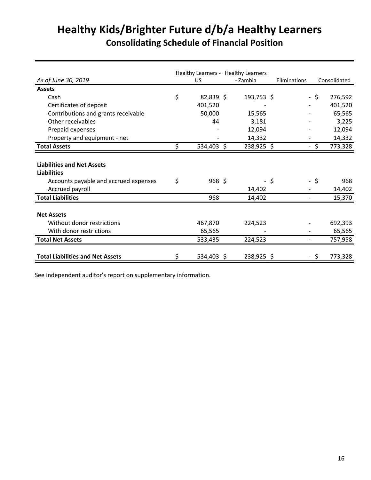### **Healthy Kids/Brighter Future d/b/a Healthy Learners Consolidating Schedule of Financial Position**

|                                         |                  | Healthy Learners - Healthy Learners |              |                              |              |
|-----------------------------------------|------------------|-------------------------------------|--------------|------------------------------|--------------|
| As of June 30, 2019                     | US.              | - Zambia                            | Eliminations |                              | Consolidated |
| <b>Assets</b>                           |                  |                                     |              |                              |              |
| Cash                                    | \$<br>82,839 \$  | 193,753 \$                          |              | $-5$                         | 276,592      |
| Certificates of deposit                 | 401,520          |                                     |              |                              | 401,520      |
| Contributions and grants receivable     | 50,000           | 15,565                              |              |                              | 65,565       |
| Other receivables                       | 44               | 3,181                               |              |                              | 3,225        |
| Prepaid expenses                        |                  | 12,094                              |              |                              | 12,094       |
| Property and equipment - net            |                  | 14,332                              |              |                              | 14,332       |
| <b>Total Assets</b>                     | 534,403 \$       | 238,925\$                           |              | S                            | 773,328      |
|                                         |                  |                                     |              |                              |              |
| <b>Liabilities and Net Assets</b>       |                  |                                     |              |                              |              |
| <b>Liabilities</b>                      |                  |                                     |              |                              |              |
| Accounts payable and accrued expenses   | \$<br>$968$ \$   |                                     | \$           | - \$                         | 968          |
| Accrued payroll                         |                  | 14,402                              |              |                              | 14,402       |
| <b>Total Liabilities</b>                | 968              | 14,402                              |              | $\overline{\phantom{a}}$     | 15,370       |
|                                         |                  |                                     |              |                              |              |
| <b>Net Assets</b>                       |                  |                                     |              |                              |              |
| Without donor restrictions              | 467,870          | 224,523                             |              |                              | 692,393      |
| With donor restrictions                 | 65,565           |                                     |              |                              | 65,565       |
| <b>Total Net Assets</b>                 | 533,435          | 224,523                             |              | $\qquad \qquad \blacksquare$ | 757,958      |
|                                         |                  |                                     |              |                              |              |
| <b>Total Liabilities and Net Assets</b> | \$<br>534,403 \$ | 238,925 \$                          |              | - \$                         | 773,328      |

See independent auditor's report on supplementary information.